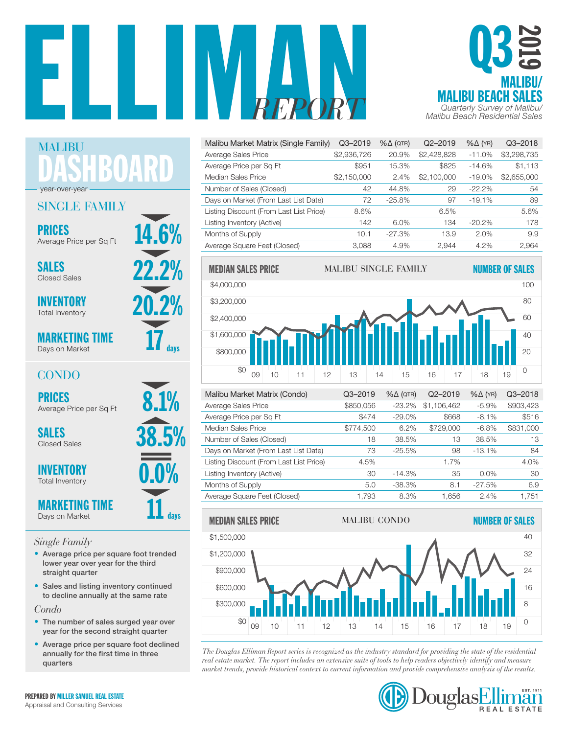



| Malibu Market Matrix (Single Family)    | Q3-2019     | $% \triangle (QTR)$ | $Q2 - 2019$ | $% \triangle (YR)$ | $Q3 - 2018$ |
|-----------------------------------------|-------------|---------------------|-------------|--------------------|-------------|
| Average Sales Price                     | \$2,936,726 | 20.9%               | \$2,428,828 | $-11.0%$           | \$3,298,735 |
| Average Price per Sq Ft                 | \$951       | 15.3%               | \$825       | $-14.6%$           | \$1,113     |
| Median Sales Price                      | \$2,150,000 | 2.4%                | \$2,100,000 | $-19.0%$           | \$2,655,000 |
| Number of Sales (Closed)                | 42          | 44.8%               | 29          | $-22.2%$           | 54          |
| Days on Market (From Last List Date)    | 72          | $-25.8%$            | 97          | $-19.1%$           | 89          |
| Listing Discount (From Last List Price) | 8.6%        |                     | 6.5%        |                    | 5.6%        |
| Listing Inventory (Active)              | 142         | $6.0\%$             | 134         | $-20.2\%$          | 178         |
| Months of Supply                        | 10.1        | $-27.3%$            | 13.9        | 2.0%               | 9.9         |
| Average Square Feet (Closed)            | 3.088       | 4.9%                | 2.944       | 4.2%               | 2.964       |



| Malibu Market Matrix (Condo)            | $Q3 - 2019$ | $% \triangle (QTR)$ | Q2-2019     | $% \triangle (YR)$ | $Q3 - 2018$ |
|-----------------------------------------|-------------|---------------------|-------------|--------------------|-------------|
| Average Sales Price                     | \$850,056   | $-23.2%$            | \$1,106,462 | $-5.9%$            | \$903,423   |
| Average Price per Sq Ft                 | \$474       | $-29.0%$            | \$668       | $-8.1\%$           | \$516       |
| Median Sales Price                      | \$774,500   | 6.2%                | \$729,000   | $-6.8%$            | \$831,000   |
| Number of Sales (Closed)                | 18          | 38.5%               | 13          | 38.5%              | 13          |
| Days on Market (From Last List Date)    | 73          | $-25.5%$            | 98          | $-13.1%$           | 84          |
| Listing Discount (From Last List Price) | 4.5%        |                     | 1.7%        |                    | 4.0%        |
| Listing Inventory (Active)              | 30          | $-14.3%$            | 35          | $0.0\%$            | 30          |
| Months of Supply                        | 5.0         | $-38.3%$            | 8.1         | $-27.5%$           | 6.9         |
| Average Square Feet (Closed)            | 1.793       | 8.3%                | 1.656       | 2.4%               | 1.751       |



*The Douglas Elliman Report series is recognized as the industry standard for providing the state of the residential*  0 \$0 real estate market. The report includes an extensive suite of tools to help readers objectively identify and measure rear estate market. The report includes an extensive suite of loots to help redders objectively dientify and measure<br>market trends, provide historical context to current information and provide comprehensive analysis of th



DASHBOARD MALIBU year-over-year

## SINGLE FAMILY

**PRICES** Average Price per So Et  $14.6%$ Average Price per Sq Ft

SALES 22.2%

20.2% INVENTORY Total Inventory

MARKETING TIME Days on Market

## CONDO

PRICES<br>Average Price per Sq Ft 8.1%

Closed Sales

**INVENTORY** Total Inventory

MARKETING TIME Days on Market

#### *Single Family*

- Average price per square foot trended lower year over year for the third straight quarter
- Sales and listing inventory continued to decline annually at the same rate

*Condo*

- The number of sales surged year over year for the second straight quarter
- Average price per square foot declined annually for the first time in three quarters



 $\mathbf{11}$  days



 $17_{\scriptscriptstyle \rm days}$